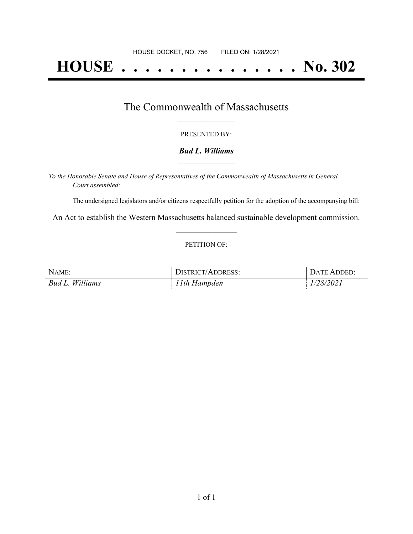# **HOUSE . . . . . . . . . . . . . . . No. 302**

## The Commonwealth of Massachusetts **\_\_\_\_\_\_\_\_\_\_\_\_\_\_\_\_\_**

#### PRESENTED BY:

#### *Bud L. Williams* **\_\_\_\_\_\_\_\_\_\_\_\_\_\_\_\_\_**

*To the Honorable Senate and House of Representatives of the Commonwealth of Massachusetts in General Court assembled:*

The undersigned legislators and/or citizens respectfully petition for the adoption of the accompanying bill:

An Act to establish the Western Massachusetts balanced sustainable development commission. **\_\_\_\_\_\_\_\_\_\_\_\_\_\_\_**

#### PETITION OF:

| NAME:           | <b>DISTRICT/ADDRESS:</b> | DATE ADDED: |
|-----------------|--------------------------|-------------|
| Bud L. Williams | 11th Hampden             | 1/28/2021   |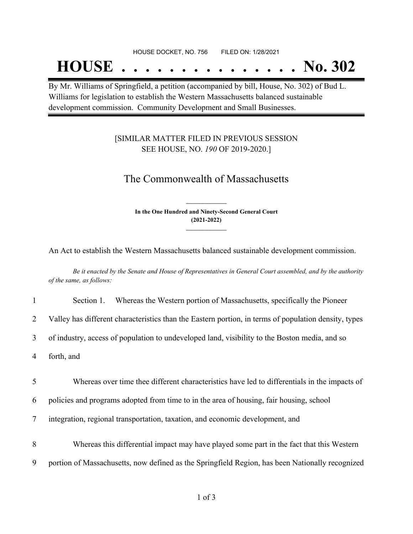#### HOUSE DOCKET, NO. 756 FILED ON: 1/28/2021

## **HOUSE . . . . . . . . . . . . . . . No. 302**

By Mr. Williams of Springfield, a petition (accompanied by bill, House, No. 302) of Bud L. Williams for legislation to establish the Western Massachusetts balanced sustainable development commission. Community Development and Small Businesses.

### [SIMILAR MATTER FILED IN PREVIOUS SESSION SEE HOUSE, NO. *190* OF 2019-2020.]

## The Commonwealth of Massachusetts

**In the One Hundred and Ninety-Second General Court (2021-2022) \_\_\_\_\_\_\_\_\_\_\_\_\_\_\_**

**\_\_\_\_\_\_\_\_\_\_\_\_\_\_\_**

An Act to establish the Western Massachusetts balanced sustainable development commission.

Be it enacted by the Senate and House of Representatives in General Court assembled, and by the authority *of the same, as follows:*

|  | Section 1. |  | Whereas the Western portion of Massachusetts, specifically the Pioneer |  |
|--|------------|--|------------------------------------------------------------------------|--|
|--|------------|--|------------------------------------------------------------------------|--|

2 Valley has different characteristics than the Eastern portion, in terms of population density, types

3 of industry, access of population to undeveloped land, visibility to the Boston media, and so

4 forth, and

5 Whereas over time thee different characteristics have led to differentials in the impacts of

6 policies and programs adopted from time to in the area of housing, fair housing, school

7 integration, regional transportation, taxation, and economic development, and

8 Whereas this differential impact may have played some part in the fact that this Western

9 portion of Massachusetts, now defined as the Springfield Region, has been Nationally recognized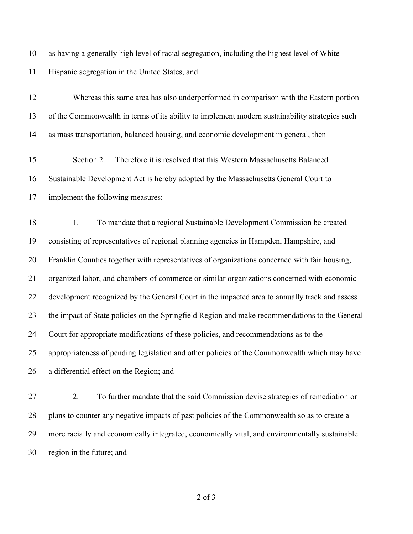as having a generally high level of racial segregation, including the highest level of White-

Hispanic segregation in the United States, and

 Whereas this same area has also underperformed in comparison with the Eastern portion of the Commonwealth in terms of its ability to implement modern sustainability strategies such as mass transportation, balanced housing, and economic development in general, then

 Section 2. Therefore it is resolved that this Western Massachusetts Balanced Sustainable Development Act is hereby adopted by the Massachusetts General Court to implement the following measures:

 1. To mandate that a regional Sustainable Development Commission be created consisting of representatives of regional planning agencies in Hampden, Hampshire, and Franklin Counties together with representatives of organizations concerned with fair housing, organized labor, and chambers of commerce or similar organizations concerned with economic development recognized by the General Court in the impacted area to annually track and assess the impact of State policies on the Springfield Region and make recommendations to the General Court for appropriate modifications of these policies, and recommendations as to the appropriateness of pending legislation and other policies of the Commonwealth which may have a differential effect on the Region; and

 2. To further mandate that the said Commission devise strategies of remediation or plans to counter any negative impacts of past policies of the Commonwealth so as to create a more racially and economically integrated, economically vital, and environmentally sustainable region in the future; and